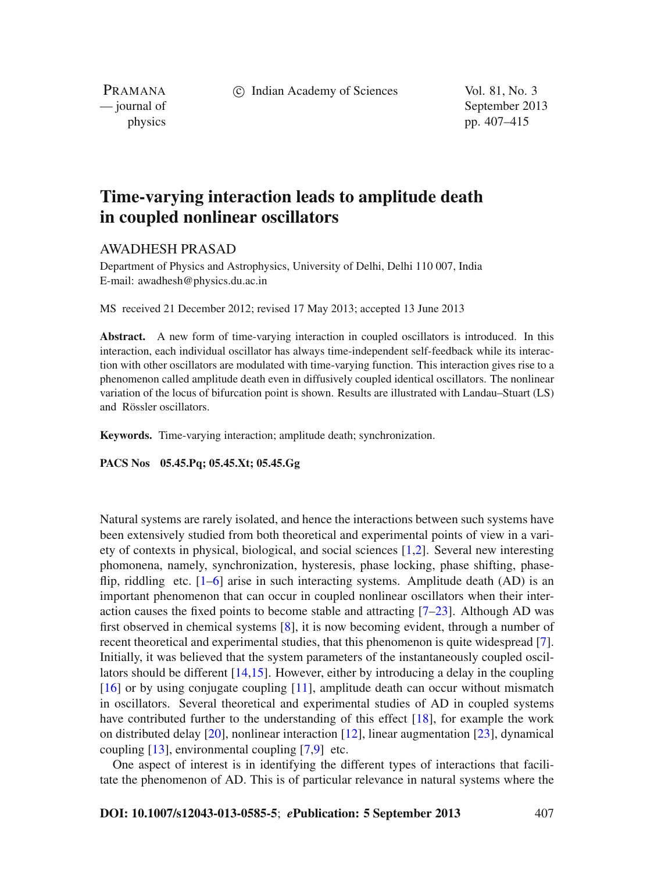c Indian Academy of Sciences Vol. 81, No. 3

PRAMANA

— journal of September 2013 physics pp. 407–415

# **Time-varying interaction leads to amplitude death in coupled nonlinear oscillators**

# AWADHESH PRASAD

Department of Physics and Astrophysics, University of Delhi, Delhi 110 007, India E-mail: awadhesh@physics.du.ac.in

MS received 21 December 2012; revised 17 May 2013; accepted 13 June 2013

**Abstract.** A new form of time-varying interaction in coupled oscillators is introduced. In this interaction, each individual oscillator has always time-independent self-feedback while its interaction with other oscillators are modulated with time-varying function. This interaction gives rise to a phenomenon called amplitude death even in diffusively coupled identical oscillators. The nonlinear variation of the locus of bifurcation point is shown. Results are illustrated with Landau–Stuart (LS) and Rössler oscillators.

**Keywords.** Time-varying interaction; amplitude death; synchronization.

**PACS Nos 05.45.Pq; 05.45.Xt; 05.45.Gg**

Natural systems are rarely isolated, and hence the interactions between such systems have been extensively studied from both theoretical and experimental points of view in a variety of contexts in physical, biological, and social sciences [\[1](#page-8-0)[,2](#page-8-1)]. Several new interesting phomonena, namely, synchronization, hysteresis, phase locking, phase shifting, phaseflip, riddling etc.  $[1-6]$  $[1-6]$  arise in such interacting systems. Amplitude death (AD) is an important phenomenon that can occur in coupled nonlinear oscillators when their interaction causes the fixed points to become stable and attracting [\[7](#page-8-3)[–23\]](#page-8-4). Although AD was first observed in chemical systems [\[8\]](#page-8-5), it is now becoming evident, through a number of recent theoretical and experimental studies, that this phenomenon is quite widespread [\[7](#page-8-3)]. Initially, it was believed that the system parameters of the instantaneously coupled oscillators should be different [\[14](#page-8-6)[,15\]](#page-8-7). However, either by introducing a delay in the coupling [\[16](#page-8-8)] or by using conjugate coupling [\[11](#page-8-9)], amplitude death can occur without mismatch in oscillators. Several theoretical and experimental studies of AD in coupled systems have contributed further to the understanding of this effect [\[18\]](#page-8-10), for example the work on distributed delay [\[20\]](#page-8-11), nonlinear interaction [\[12](#page-8-12)], linear augmentation [\[23\]](#page-8-4), dynamical coupling [\[13\]](#page-8-13), environmental coupling [\[7](#page-8-3)[,9\]](#page-8-14) etc.

One aspect of interest is in identifying the different types of interactions that facilitate the phenomenon of AD. This is of particular relevance in natural systems where the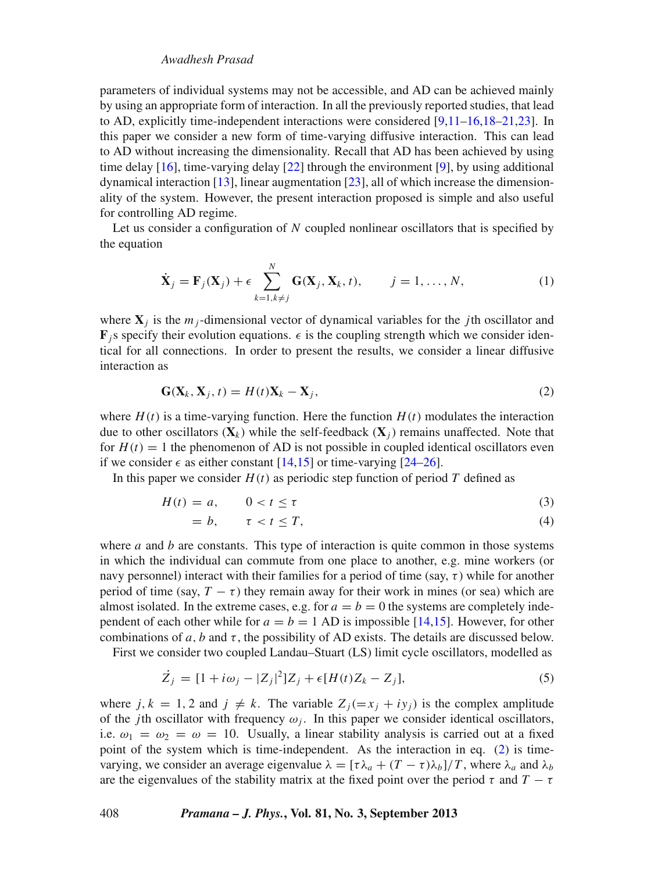## *Awadhesh Prasad*

parameters of individual systems may not be accessible, and AD can be achieved mainly by using an appropriate form of interaction. In all the previously reported studies, that lead to AD, explicitly time-independent interactions were considered [\[9](#page-8-14)[,11](#page-8-9)[–16](#page-8-8)[,18](#page-8-10)[–21](#page-8-15)[,23](#page-8-4)]. In this paper we consider a new form of time-varying diffusive interaction. This can lead to AD without increasing the dimensionality. Recall that AD has been achieved by using time delay [\[16](#page-8-8)], time-varying delay [\[22](#page-8-16)] through the environment [\[9](#page-8-14)], by using additional dynamical interaction [\[13](#page-8-13)], linear augmentation [\[23\]](#page-8-4), all of which increase the dimensionality of the system. However, the present interaction proposed is simple and also useful for controlling AD regime.

Let us consider a configuration of *N* coupled nonlinear oscillators that is specified by the equation

$$
\dot{\mathbf{X}}_j = \mathbf{F}_j(\mathbf{X}_j) + \epsilon \sum_{k=1, k \neq j}^N \mathbf{G}(\mathbf{X}_j, \mathbf{X}_k, t), \qquad j = 1, \dots, N,
$$
\n(1)

where  $\mathbf{X}_i$  is the  $m_i$ -dimensional vector of dynamical variables for the *j*th oscillator and  $\mathbf{F}_j$ s specify their evolution equations.  $\epsilon$  is the coupling strength which we consider identical for all connections. In order to present the results, we consider a linear diffusive interaction as

<span id="page-1-0"></span>
$$
\mathbf{G}(\mathbf{X}_k, \mathbf{X}_j, t) = H(t)\mathbf{X}_k - \mathbf{X}_j,\tag{2}
$$

where  $H(t)$  is a time-varying function. Here the function  $H(t)$  modulates the interaction due to other oscillators  $(X_k)$  while the self-feedback  $(X_i)$  remains unaffected. Note that for  $H(t) = 1$  the phenomenon of AD is not possible in coupled identical oscillators even if we consider  $\epsilon$  as either constant [\[14](#page-8-6)[,15\]](#page-8-7) or time-varying [\[24](#page-8-17)[–26](#page-8-18)].

In this paper we consider  $H(t)$  as periodic step function of period T defined as

<span id="page-1-2"></span>
$$
H(t) = a, \qquad 0 < t \le \tau \tag{3}
$$

$$
= b, \qquad \tau < t \leq T,\tag{4}
$$

where *a* and *b* are constants. This type of interaction is quite common in those systems in which the individual can commute from one place to another, e.g. mine workers (or navy personnel) interact with their families for a period of time (say,  $\tau$ ) while for another period of time (say,  $T - \tau$ ) they remain away for their work in mines (or sea) which are almost isolated. In the extreme cases, e.g. for  $a = b = 0$  the systems are completely independent of each other while for  $a = b = 1$  AD is impossible [\[14](#page-8-6)[,15](#page-8-7)]. However, for other combinations of  $a$ ,  $b$  and  $\tau$ , the possibility of AD exists. The details are discussed below.

First we consider two coupled Landau–Stuart (LS) limit cycle oscillators, modelled as

<span id="page-1-1"></span>
$$
\dot{Z}_j = [1 + i\omega_j - |Z_j|^2]Z_j + \epsilon [H(t)Z_k - Z_j],
$$
\n(5)

where  $j, k = 1, 2$  and  $j \neq k$ . The variable  $Z_j(=x_j + iy_j)$  is the complex amplitude of the *j*th oscillator with frequency  $\omega_j$ . In this paper we consider identical oscillators, i.e.  $\omega_1 = \omega_2 = \omega = 10$ . Usually, a linear stability analysis is carried out at a fixed point of the system which is time-independent. As the interaction in eq. [\(2\)](#page-1-0) is timevarying, we consider an average eigenvalue  $\lambda = [\tau \lambda_a + (T - \tau) \lambda_b]/T$ , where  $\lambda_a$  and  $\lambda_b$ are the eigenvalues of the stability matrix at the fixed point over the period  $\tau$  and  $T - \tau$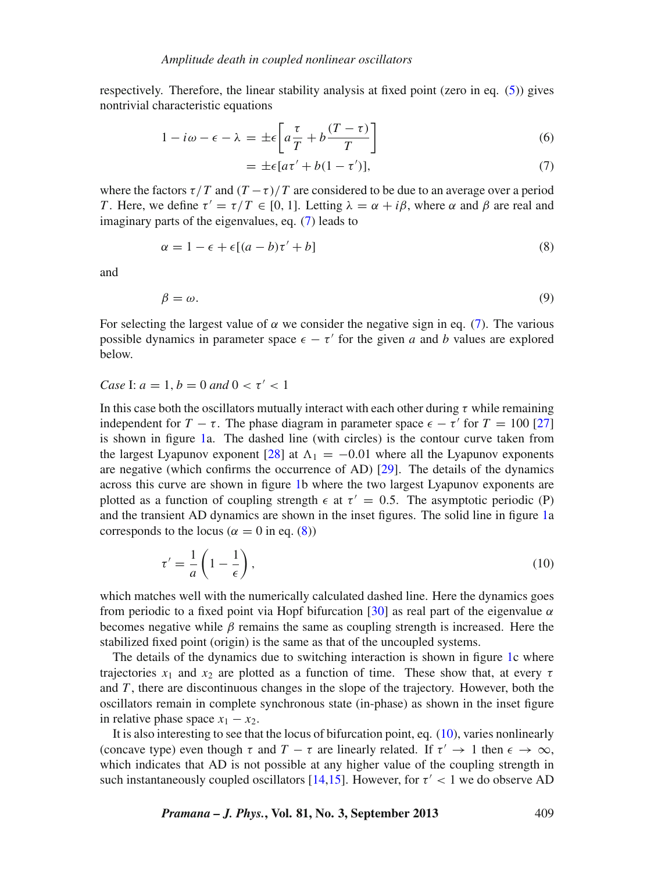respectively. Therefore, the linear stability analysis at fixed point (zero in eq.  $(5)$ ) gives nontrivial characteristic equations

<span id="page-2-0"></span>
$$
1 - i\omega - \epsilon - \lambda = \pm \epsilon \left[ a\frac{\tau}{T} + b\frac{(T - \tau)}{T} \right] \tag{6}
$$

$$
= \pm \epsilon [a\tau' + b(1 - \tau')],\tag{7}
$$

where the factors  $\tau/T$  and  $(T - \tau)/T$  are considered to be due to an average over a period *T*. Here, we define  $\tau' = \tau/T \in [0, 1]$ . Letting  $\lambda = \alpha + i\beta$ , where  $\alpha$  and  $\beta$  are real and imaginary parts of the eigenvalues, eq. [\(7\)](#page-2-0) leads to

<span id="page-2-1"></span>
$$
\alpha = 1 - \epsilon + \epsilon [(a - b)\tau' + b] \tag{8}
$$

and

$$
\beta = \omega. \tag{9}
$$

For selecting the largest value of  $\alpha$  we consider the negative sign in eq. [\(7\)](#page-2-0). The various possible dynamics in parameter space  $\epsilon - \tau'$  for the given *a* and *b* values are explored below.

# *Case* I:  $a = 1$ ,  $b = 0$  *and*  $0 < \tau' < 1$

In this case both the oscillators mutually interact with each other during  $\tau$  while remaining independent for  $T - \tau$ . The phase diagram in parameter space  $\epsilon - \tau'$  for  $T = 100$  [\[27\]](#page-8-19) is shown in figure [1a](#page-3-0). The dashed line (with circles) is the contour curve taken from the largest Lyapunov exponent [\[28\]](#page-8-20) at  $\Lambda_1 = -0.01$  where all the Lyapunov exponents are negative (which confirms the occurrence of AD) [\[29](#page-8-21)]. The details of the dynamics across this curve are shown in figure [1b](#page-3-0) where the two largest Lyapunov exponents are plotted as a function of coupling strength  $\epsilon$  at  $\tau' = 0.5$ . The asymptotic periodic (P) and the transient AD dynamics are shown in the inset figures. The solid line in figure [1a](#page-3-0) corresponds to the locus ( $\alpha = 0$  in eq. [\(8\)](#page-2-1))

<span id="page-2-2"></span>
$$
\tau' = \frac{1}{a} \left( 1 - \frac{1}{\epsilon} \right),\tag{10}
$$

which matches well with the numerically calculated dashed line. Here the dynamics goes from periodic to a fixed point via Hopf bifurcation [\[30\]](#page-8-22) as real part of the eigenvalue  $\alpha$ becomes negative while  $\beta$  remains the same as coupling strength is increased. Here the stabilized fixed point (origin) is the same as that of the uncoupled systems.

The details of the dynamics due to switching interaction is shown in figure [1c](#page-3-0) where trajectories  $x_1$  and  $x_2$  are plotted as a function of time. These show that, at every  $\tau$ and *T* , there are discontinuous changes in the slope of the trajectory. However, both the oscillators remain in complete synchronous state (in-phase) as shown in the inset figure in relative phase space  $x_1 - x_2$ .

It is also interesting to see that the locus of bifurcation point, eq. [\(10\)](#page-2-2), varies nonlinearly (concave type) even though  $\tau$  and  $T - \tau$  are linearly related. If  $\tau' \to 1$  then  $\epsilon \to \infty$ , which indicates that AD is not possible at any higher value of the coupling strength in such instantaneously coupled oscillators [\[14](#page-8-6)[,15](#page-8-7)]. However, for  $\tau' < 1$  we do observe AD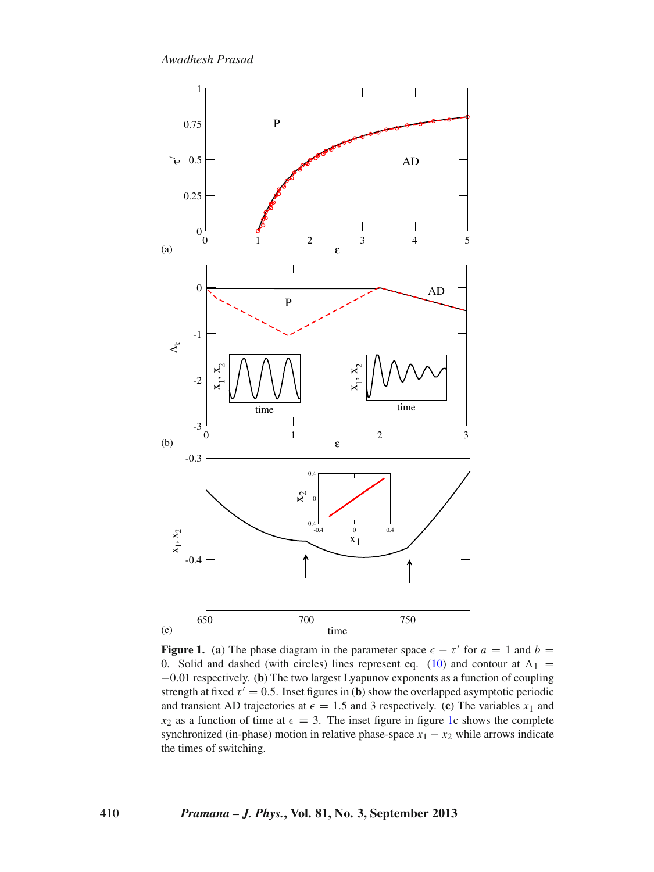*Awadhesh Prasad*

<span id="page-3-0"></span>

**Figure 1.** (a) The phase diagram in the parameter space  $\epsilon - \tau'$  for  $a = 1$  and  $b =$ 0. Solid and dashed (with circles) lines represent eq. [\(10\)](#page-2-2) and contour at  $\Lambda_1$  = −0.01 respectively. (**b**) The two largest Lyapunov exponents as a function of coupling strength at fixed  $\tau' = 0.5$ . Inset figures in (**b**) show the overlapped asymptotic periodic and transient AD trajectories at  $\epsilon = 1.5$  and 3 respectively. (c) The variables  $x_1$  and  $x_2$  as a function of time at  $\epsilon = 3$ . The inset figure in figure [1c](#page-3-0) shows the complete synchronized (in-phase) motion in relative phase-space  $x_1 - x_2$  while arrows indicate the times of switching.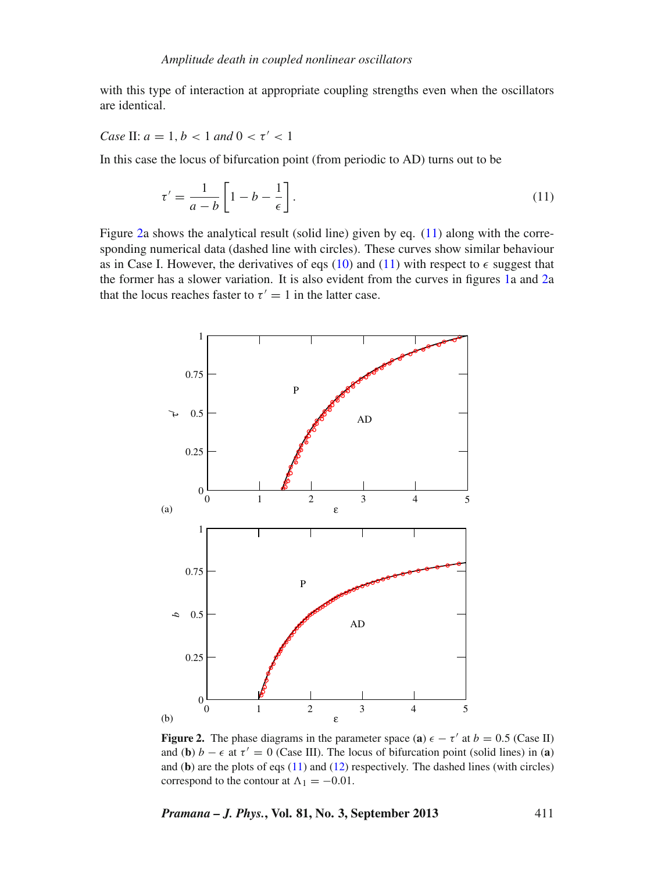with this type of interaction at appropriate coupling strengths even when the oscillators are identical.

*Case* II:  $a = 1, b < 1$  *and*  $0 < \tau' < 1$ 

In this case the locus of bifurcation point (from periodic to AD) turns out to be

<span id="page-4-1"></span>
$$
\tau' = \frac{1}{a - b} \left[ 1 - b - \frac{1}{\epsilon} \right].\tag{11}
$$

Figure [2a](#page-4-0) shows the analytical result (solid line) given by eq. [\(11\)](#page-4-1) along with the corresponding numerical data (dashed line with circles). These curves show similar behaviour as in Case I. However, the derivatives of eqs [\(10\)](#page-2-2) and [\(11\)](#page-4-1) with respect to  $\epsilon$  suggest that the former has a slower variation. It is also evident from the curves in figures [1a](#page-3-0) and [2a](#page-4-0) that the locus reaches faster to  $\tau' = 1$  in the latter case.

<span id="page-4-0"></span>

**Figure 2.** The phase diagrams in the parameter space (a)  $\epsilon - \tau'$  at  $b = 0.5$  (Case II) and (**b**)  $b - \epsilon$  at  $\tau' = 0$  (Case III). The locus of bifurcation point (solid lines) in (**a**) and (**b**) are the plots of eqs [\(11\)](#page-4-1) and [\(12\)](#page-5-0) respectively. The dashed lines (with circles) correspond to the contour at  $\Lambda_1 = -0.01$ .

*Pramana – J. Phys.***, Vol. 81, No. 3, September 2013** 411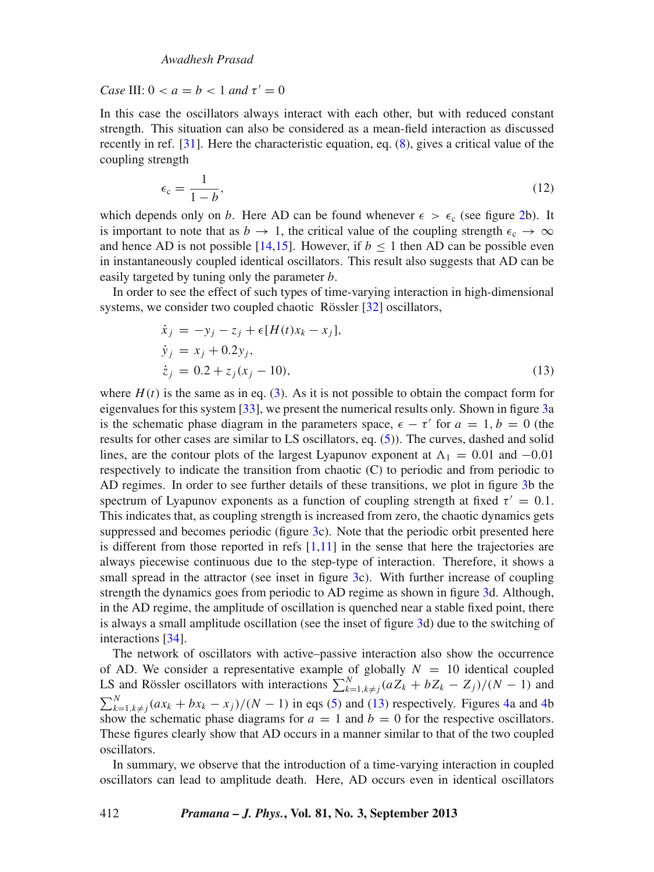*Case* III:  $0 < a \neq b < 1$  *and*  $\tau' = 0$ 

In this case the oscillators always interact with each other, but with reduced constant strength. This situation can also be considered as a mean-field interaction as discussed recently in ref. [\[31](#page-8-23)]. Here the characteristic equation, eq. [\(8\)](#page-2-1), gives a critical value of the coupling strength

<span id="page-5-0"></span>
$$
\epsilon_{\rm c} = \frac{1}{1 - b},\tag{12}
$$

which depends only on *b*. Here AD can be found whenever  $\epsilon > \epsilon_c$  (see figure [2b](#page-4-0)). It is important to note that as  $b \to 1$ , the critical value of the coupling strength  $\epsilon_c \to \infty$ and hence AD is not possible [\[14](#page-8-6)[,15\]](#page-8-7). However, if  $b \le 1$  then AD can be possible even in instantaneously coupled identical oscillators. This result also suggests that AD can be easily targeted by tuning only the parameter *b*.

In order to see the effect of such types of time-varying interaction in high-dimensional systems, we consider two coupled chaotic Rössler [\[32\]](#page-8-24) oscillators,

<span id="page-5-1"></span>
$$
\dot{x}_j = -y_j - z_j + \epsilon [H(t)x_k - x_j], \n\dot{y}_j = x_j + 0.2y_j, \n\dot{z}_j = 0.2 + z_j(x_j - 10),
$$
\n(13)

where  $H(t)$  is the same as in eq. [\(3\)](#page-1-2). As it is not possible to obtain the compact form for eigenvalues for this system [\[33](#page-8-25)], we present the numerical results only. Shown in figure [3a](#page-6-0) is the schematic phase diagram in the parameters space,  $\epsilon - \tau'$  for  $a = 1, b = 0$  (the results for other cases are similar to LS oscillators, eq. [\(5\)](#page-1-1)). The curves, dashed and solid lines, are the contour plots of the largest Lyapunov exponent at  $\Lambda_1 = 0.01$  and  $-0.01$ respectively to indicate the transition from chaotic (C) to periodic and from periodic to AD regimes. In order to see further details of these transitions, we plot in figure [3b](#page-6-0) the spectrum of Lyapunov exponents as a function of coupling strength at fixed  $\tau' = 0.1$ . This indicates that, as coupling strength is increased from zero, the chaotic dynamics gets suppressed and becomes periodic (figure [3c](#page-6-0)). Note that the periodic orbit presented here is different from those reported in refs  $[1,11]$  $[1,11]$  in the sense that here the trajectories are always piecewise continuous due to the step-type of interaction. Therefore, it shows a small spread in the attractor (see inset in figure [3c](#page-6-0)). With further increase of coupling strength the dynamics goes from periodic to AD regime as shown in figure [3d](#page-6-0). Although, in the AD regime, the amplitude of oscillation is quenched near a stable fixed point, there is always a small amplitude oscillation (see the inset of figure [3d](#page-6-0)) due to the switching of interactions [\[34](#page-8-26)].

The network of oscillators with active–passive interaction also show the occurrence of AD. We consider a representative example of globally  $N = 10$  identical coupled LS and Rössler oscillators with interactions  $\sum_{k=1, k \neq j}^{N} (aZ_k + bZ_k - Z_j)/(N - 1)$  and  $\sum_{k=1, k \neq j}^{N} (ax_k + bx_k - x_j)/(N - 1)$  in eqs [\(5\)](#page-1-1) and [\(13\)](#page-5-1) respectively. Figures [4a](#page-7-0) and [4b](#page-7-0) show the schematic phase diagrams for  $a = 1$  and  $b = 0$  for the respective oscillators. These figures clearly show that AD occurs in a manner similar to that of the two coupled oscillators.

In summary, we observe that the introduction of a time-varying interaction in coupled oscillators can lead to amplitude death. Here, AD occurs even in identical oscillators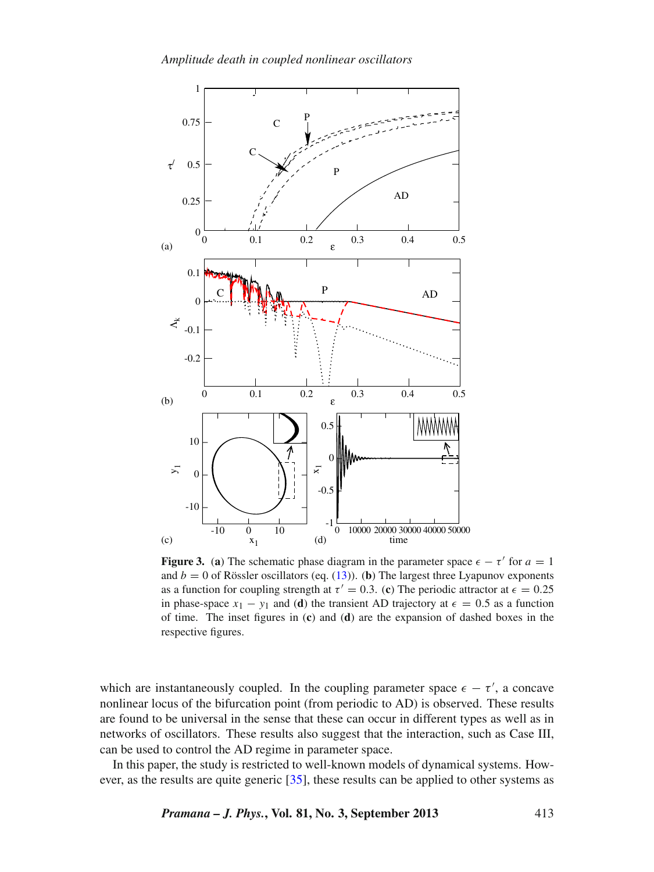<span id="page-6-0"></span>

**Figure 3.** (a) The schematic phase diagram in the parameter space  $\epsilon - \tau'$  for  $a = 1$ and  $b = 0$  of Rössler oscillators (eq. [\(13\)](#page-5-1)). (**b**) The largest three Lyapunov exponents as a function for coupling strength at  $\tau' = 0.3$ . (c) The periodic attractor at  $\epsilon = 0.25$ in phase-space  $x_1 - y_1$  and (**d**) the transient AD trajectory at  $\epsilon = 0.5$  as a function of time. The inset figures in (**c**) and (**d**) are the expansion of dashed boxes in the respective figures.

which are instantaneously coupled. In the coupling parameter space  $\epsilon - \tau'$ , a concave nonlinear locus of the bifurcation point (from periodic to AD) is observed. These results are found to be universal in the sense that these can occur in different types as well as in networks of oscillators. These results also suggest that the interaction, such as Case III, can be used to control the AD regime in parameter space.

In this paper, the study is restricted to well-known models of dynamical systems. How-ever, as the results are quite generic [\[35](#page-8-27)], these results can be applied to other systems as

*Pramana – J. Phys.***, Vol. 81, No. 3, September 2013** 413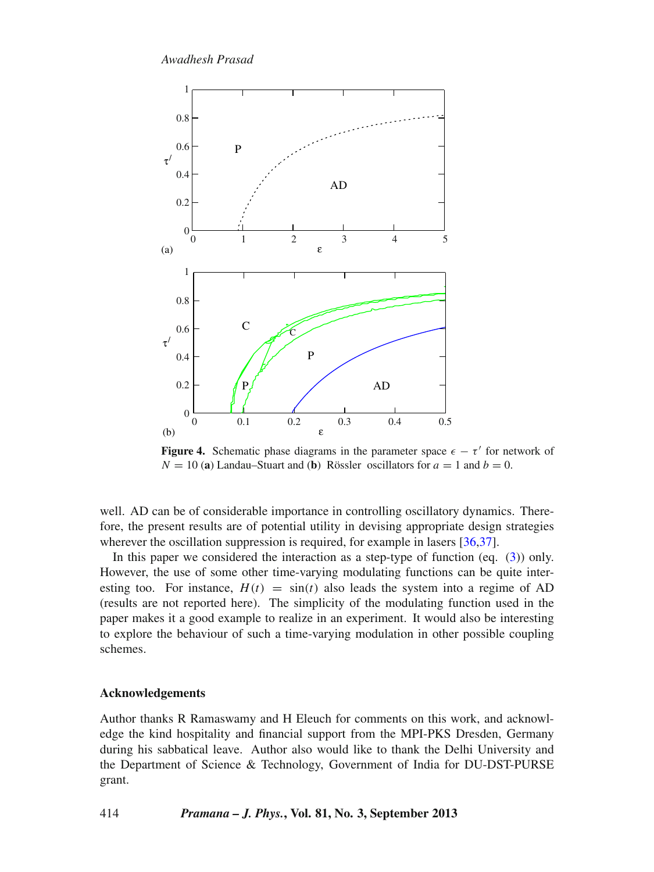<span id="page-7-0"></span>

**Figure 4.** Schematic phase diagrams in the parameter space  $\epsilon - \tau'$  for network of  $N = 10$  (a) Landau–Stuart and (b) Rössler oscillators for  $a = 1$  and  $b = 0$ .

well. AD can be of considerable importance in controlling oscillatory dynamics. Therefore, the present results are of potential utility in devising appropriate design strategies wherever the oscillation suppression is required, for example in lasers [\[36](#page-8-28)[,37\]](#page-8-29).

In this paper we considered the interaction as a step-type of function (eq.  $(3)$ ) only. However, the use of some other time-varying modulating functions can be quite interesting too. For instance,  $H(t) = \sin(t)$  also leads the system into a regime of AD (results are not reported here). The simplicity of the modulating function used in the paper makes it a good example to realize in an experiment. It would also be interesting to explore the behaviour of such a time-varying modulation in other possible coupling schemes.

## **Acknowledgements**

Author thanks R Ramaswamy and H Eleuch for comments on this work, and acknowledge the kind hospitality and financial support from the MPI-PKS Dresden, Germany during his sabbatical leave. Author also would like to thank the Delhi University and the Department of Science & Technology, Government of India for DU-DST-PURSE grant.